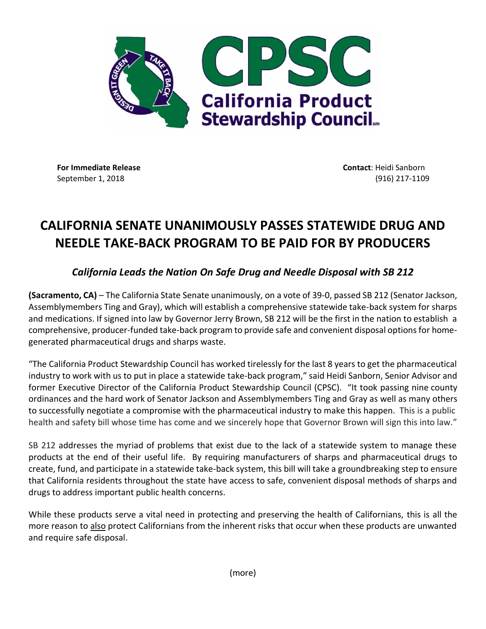

**For Immediate Release Contact**: Heidi Sanborn September 1, 2018 (916) 217-1109

## **CALIFORNIA SENATE UNANIMOUSLY PASSES STATEWIDE DRUG AND NEEDLE TAKE-BACK PROGRAM TO BE PAID FOR BY PRODUCERS**

## *California Leads the Nation On Safe Drug and Needle Disposal with SB 212*

**(Sacramento, CA)** – The California State Senate unanimously, on a vote of 39-0, passed SB 212 (Senator Jackson, Assemblymembers Ting and Gray), which will establish a comprehensive statewide take-back system for sharps and medications. If signed into law by Governor Jerry Brown, SB 212 will be the first in the nation to establish a comprehensive, producer-funded take-back program to provide safe and convenient disposal options for homegenerated pharmaceutical drugs and sharps waste.

"The California Product Stewardship Council has worked tirelessly for the last 8 years to get the pharmaceutical industry to work with us to put in place a statewide take-back program," said Heidi Sanborn, Senior Advisor and former Executive Director of the California Product Stewardship Council (CPSC). "It took passing nine county ordinances and the hard work of Senator Jackson and Assemblymembers Ting and Gray as well as many others to successfully negotiate a compromise with the pharmaceutical industry to make this happen. This is a public health and safety bill whose time has come and we sincerely hope that Governor Brown will sign this into law."

SB 212 addresses the myriad of problems that exist due to the lack of a statewide system to manage these products at the end of their useful life. By requiring manufacturers of sharps and pharmaceutical drugs to create, fund, and participate in a statewide take-back system, this bill will take a groundbreaking step to ensure that California residents throughout the state have access to safe, convenient disposal methods of sharps and drugs to address important public health concerns.

While these products serve a vital need in protecting and preserving the health of Californians, this is all the more reason to also protect Californians from the inherent risks that occur when these products are unwanted and require safe disposal.